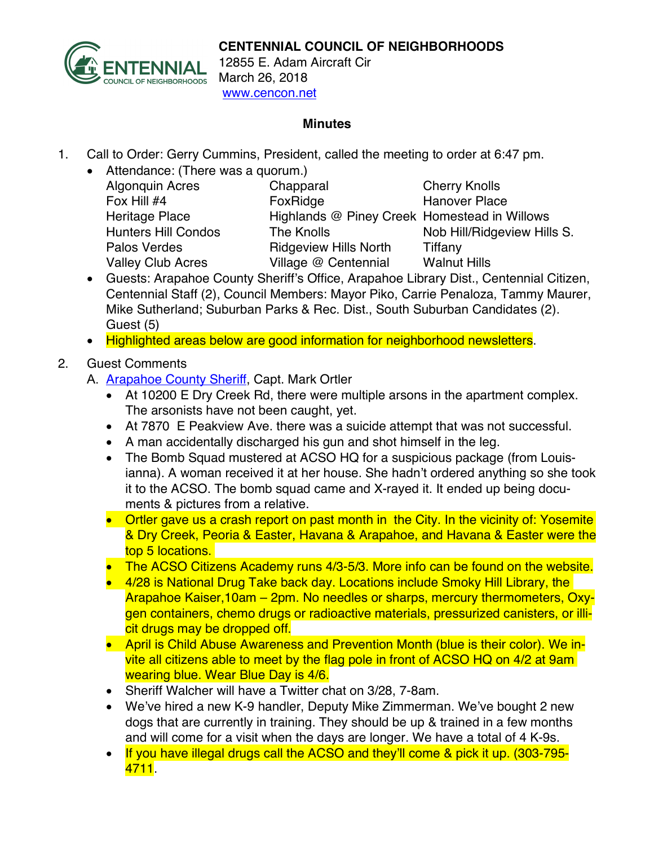

12855 E. Adam Aircraft Cir March 26, 2018 www.cencon.net

## **Minutes**

- 1. Call to Order: Gerry Cummins, President, called the meeting to order at 6:47 pm.
	- Attendance: (There was a quorum.) Algonquin Acres Chapparal Cherry Knolls<br>
	Fox Hill #4 Fox Ridge Hanover Place Palos Verdes **Ridgeview Hills North** Tiffany Valley Club Acres Village @ Centennial Walnut Hills

Fox Ridge Hanover Place Heritage Place **Highlands @ Piney Creek Homestead in Willows** Hunters Hill Condos The Knolls Nob Hill/Ridgeview Hills S.

- Guests: Arapahoe County Sheriff's Office, Arapahoe Library Dist., Centennial Citizen, Centennial Staff (2), Council Members: Mayor Piko, Carrie Penaloza, Tammy Maurer, Mike Sutherland; Suburban Parks & Rec. Dist., South Suburban Candidates (2). Guest (5)
- Highlighted areas below are good information for neighborhood newsletters.
- 2. Guest Comments
	- A. [Arapahoe County Sheriff,](http://www.arapahoesheriff.org/) Capt. Mark Ortler
		- At 10200 E Dry Creek Rd, there were multiple arsons in the apartment complex. The arsonists have not been caught, yet.
		- At 7870 E Peakview Ave. there was a suicide attempt that was not successful.
		- A man accidentally discharged his gun and shot himself in the leg.
		- The Bomb Squad mustered at ACSO HQ for a suspicious package (from Louisianna). A woman received it at her house. She hadn't ordered anything so she took it to the ACSO. The bomb squad came and X-rayed it. It ended up being documents & pictures from a relative.
		- Ortler gave us a crash report on past month in the City. In the vicinity of: Yosemite & Dry Creek, Peoria & Easter, Havana & Arapahoe, and Havana & Easter were the top 5 locations.
		- The ACSO Citizens Academy runs 4/3-5/3. More info can be found on the website.
		- 4/28 is National Drug Take back day. Locations include Smoky Hill Library, the Arapahoe Kaiser,10am – 2pm. No needles or sharps, mercury thermometers, Oxygen containers, chemo drugs or radioactive materials, pressurized canisters, or illicit drugs may be dropped off.
		- April is Child Abuse Awareness and Prevention Month (blue is their color). We invite all citizens able to meet by the flag pole in front of ACSO HQ on 4/2 at 9am wearing blue. Wear Blue Day is 4/6.
		- Sheriff Walcher will have a Twitter chat on 3/28, 7-8am.
		- We've hired a new K-9 handler, Deputy Mike Zimmerman. We've bought 2 new dogs that are currently in training. They should be up & trained in a few months and will come for a visit when the days are longer. We have a total of 4 K-9s.
		- If you have illegal drugs call the ACSO and they'll come & pick it up. (303-795-4711.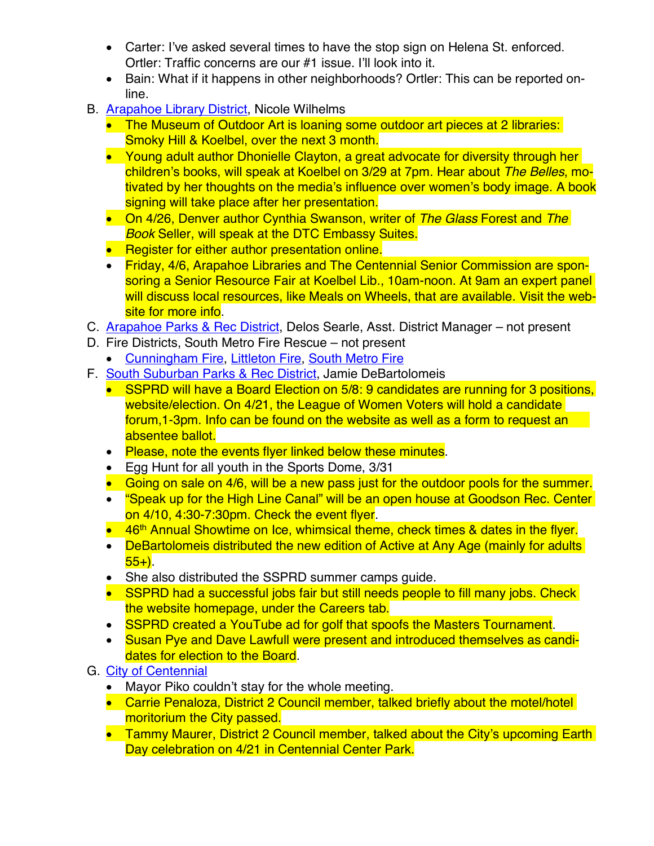- Carter: I've asked several times to have the stop sign on Helena St. enforced. Ortler: Traffic concerns are our #1 issue. I'll look into it.
- Bain: What if it happens in other neighborhoods? Ortler: This can be reported online.
- B. [Arapahoe Library District,](http://www.arapahoelibraries.org/) Nicole Wilhelms
	- The Museum of Outdoor Art is loaning some outdoor art pieces at 2 libraries: Smoky Hill & Koelbel, over the next 3 month.
	- Young adult author Dhonielle Clayton, a great advocate for diversity through her children's books, will speak at Koelbel on 3/29 at 7pm. Hear about *The Belles*, motivated by her thoughts on the media's influence over women's body image. A book signing will take place after her presentation.
	- On 4/26, Denver author Cynthia Swanson, writer of *The Glass* Forest and *The Book* Seller, will speak at the DTC Embassy Suites.
	- Register for either author presentation online.
	- Friday, 4/6, Arapahoe Libraries and The Centennial Senior Commission are sponsoring a Senior Resource Fair at Koelbel Lib., 10am-noon. At 9am an expert panel will discuss local resources, like Meals on Wheels, that are available. Visit the website for more info.
- C. [Arapahoe Parks & Rec District,](http://www.aprd.org/) Delos Searle, Asst. District Manager not present
- D. Fire Districts, South Metro Fire Rescue not present
	- [Cunningham Fire,](http://www.cfpd.org/) [Littleton Fire](http://www.littletongov.org/fire), [South Metro Fire](http://www.southmetro.org/)
- F. [South Suburban Parks & Rec District,](http://www.sspr.org/) Jamie DeBartolomeis
	- SSPRD will have a Board Election on 5/8: 9 candidates are running for 3 positions, website/election. On 4/21, the League of Women Voters will hold a candidate forum,1-3pm. Info can be found on the website as well as a form to request an absentee ballot.
	- Please, note the events flyer linked below these minutes.
	- Egg Hunt for all youth in the Sports Dome, 3/31
	- Going on sale on 4/6, will be a new pass just for the outdoor pools for the summer.
	- "Speak up for the High Line Canal" will be an open house at Goodson Rec. Center on 4/10, 4:30-7:30pm. Check the event flyer.
	- 46<sup>th</sup> Annual Showtime on Ice, whimsical theme, check times & dates in the flyer.
	- DeBartolomeis distributed the new edition of Active at Any Age (mainly for adults  $55+$ ).
	- She also distributed the SSPRD summer camps guide.
	- SSPRD had a successful jobs fair but still needs people to fill many jobs. Check the website homepage, under the Careers tab.
	- SSPRD created a YouTube ad for golf that spoofs the Masters Tournament.
	- Susan Pye and Dave Lawfull were present and introduced themselves as candidates for election to the Board.
- G. [City of Centennial](http://www.centennialco.gov/)
	- Mayor Piko couldn't stay for the whole meeting.
	- Carrie Penaloza, District 2 Council member, talked briefly about the motel/hotel moritorium the City passed.
	- Tammy Maurer, District 2 Council member, talked about the City's upcoming Earth Day celebration on 4/21 in Centennial Center Park.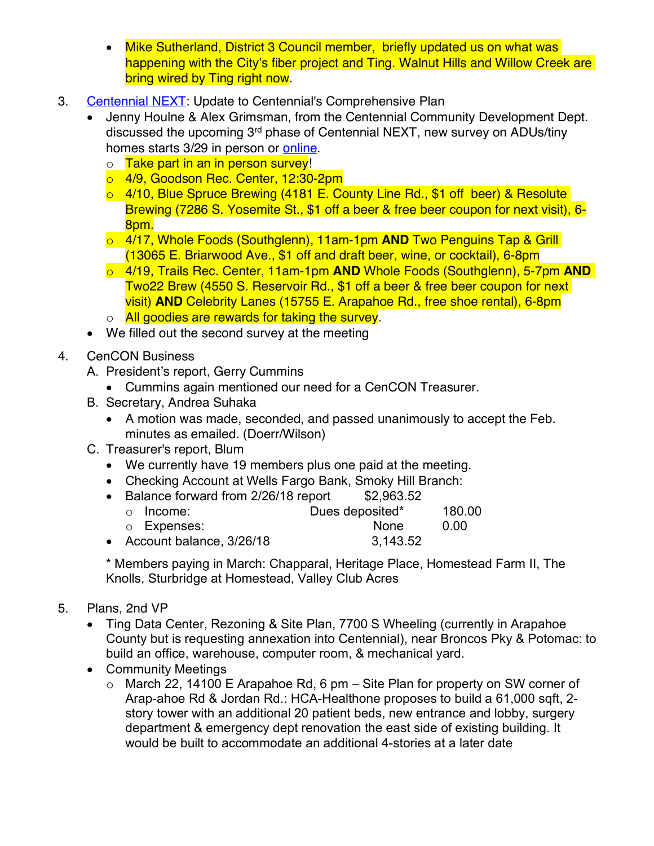- Mike Sutherland, District 3 Council member, briefly updated us on what was happening with the City's fiber project and Ting. Walnut Hills and Willow Creek are bring wired by Ting right now.
- 3. [Centennial NEXT](http://www.centennialco.gov/centennialnext): Update to Centennial's Comprehensive Plan
	- Jenny Houlne & Alex Grimsman, from the Centennial Community Development Dept. discussed the upcoming 3rd phase of Centennial NEXT, new survey on ADUs/tiny homes starts 3/29 in person or [online.](http://www.centennialco.gov/centennialnext)
		- o Take part in an in person survey!
		- o 4/9, Goodson Rec. Center, 12:30-2pm
		- o 4/10, Blue Spruce Brewing (4181 E. County Line Rd., \$1 off beer) & Resolute Brewing (7286 S. Yosemite St., \$1 off a beer & free beer coupon for next visit), 6- 8pm.
		- o 4/17, Whole Foods (Southglenn), 11am-1pm **AND** Two Penguins Tap & Grill (13065 E. Briarwood Ave., \$1 off and draft beer, wine, or cocktail), 6-8pm
		- o 4/19, Trails Rec. Center, 11am-1pm **AND** Whole Foods (Southglenn), 5-7pm **AND** Two22 Brew (4550 S. Reservoir Rd., \$1 off a beer & free beer coupon for next visit) **AND** Celebrity Lanes (15755 E. Arapahoe Rd., free shoe rental), 6-8pm
		- o All goodies are rewards for taking the survey.
	- We filled out the second survey at the meeting
- 4. CenCON Business
	- A. President's report, Gerry Cummins
		- Cummins again mentioned our need for a CenCON Treasurer.
	- B. Secretary, Andrea Suhaka
		- A motion was made, seconded, and passed unanimously to accept the Feb. minutes as emailed. (Doerr/Wilson)
	- C. Treasurer's report, Blum
		- We currently have 19 members plus one paid at the meeting.
		- Checking Account at Wells Fargo Bank, Smoky Hill Branch:
		- Balance forward from 2/26/18 report \$2,963.52 o Income: Dues deposited\* 180.00
		- $\circ$  Expenses:  $\circ$  None 0.00<br>Account balance, 3/26/18 3.143.52
		- Account balance,  $3/26/18$

\* Members paying in March: Chapparal, Heritage Place, Homestead Farm II, The Knolls, Sturbridge at Homestead, Valley Club Acres

- 5. Plans, 2nd VP
	- Ting Data Center, Rezoning & Site Plan, 7700 S Wheeling (currently in Arapahoe County but is requesting annexation into Centennial), near Broncos Pky & Potomac: to build an office, warehouse, computer room, & mechanical yard.
	- Community Meetings
		- $\circ$  March 22, 14100 E Arapahoe Rd, 6 pm Site Plan for property on SW corner of Arap-ahoe Rd & Jordan Rd.: HCA-Healthone proposes to build a 61,000 sqft, 2 story tower with an additional 20 patient beds, new entrance and lobby, surgery department & emergency dept renovation the east side of existing building. It would be built to accommodate an additional 4-stories at a later date